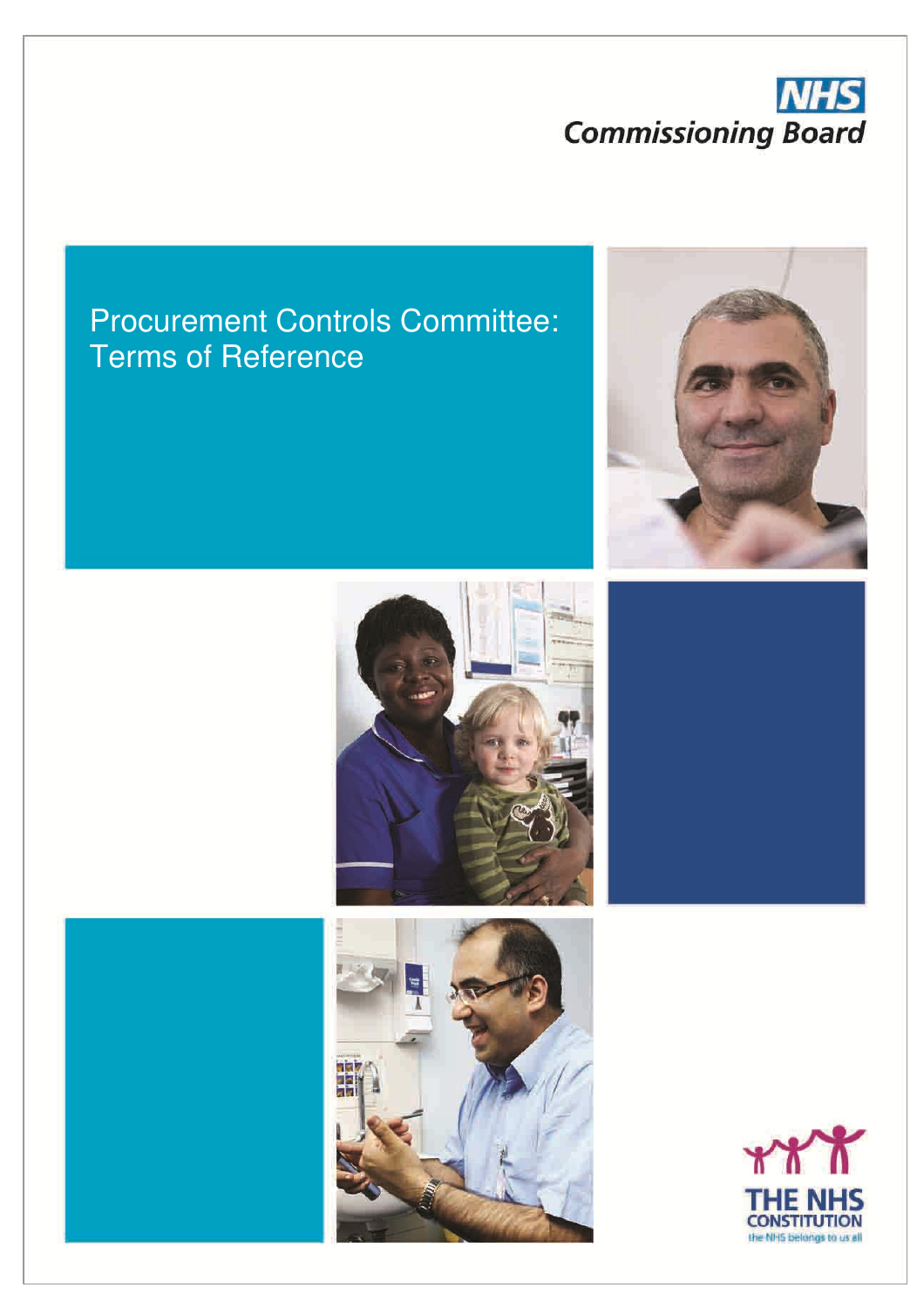## **NHS Commissioning Board**

### Procurement Controls Committee: Terms of Reference







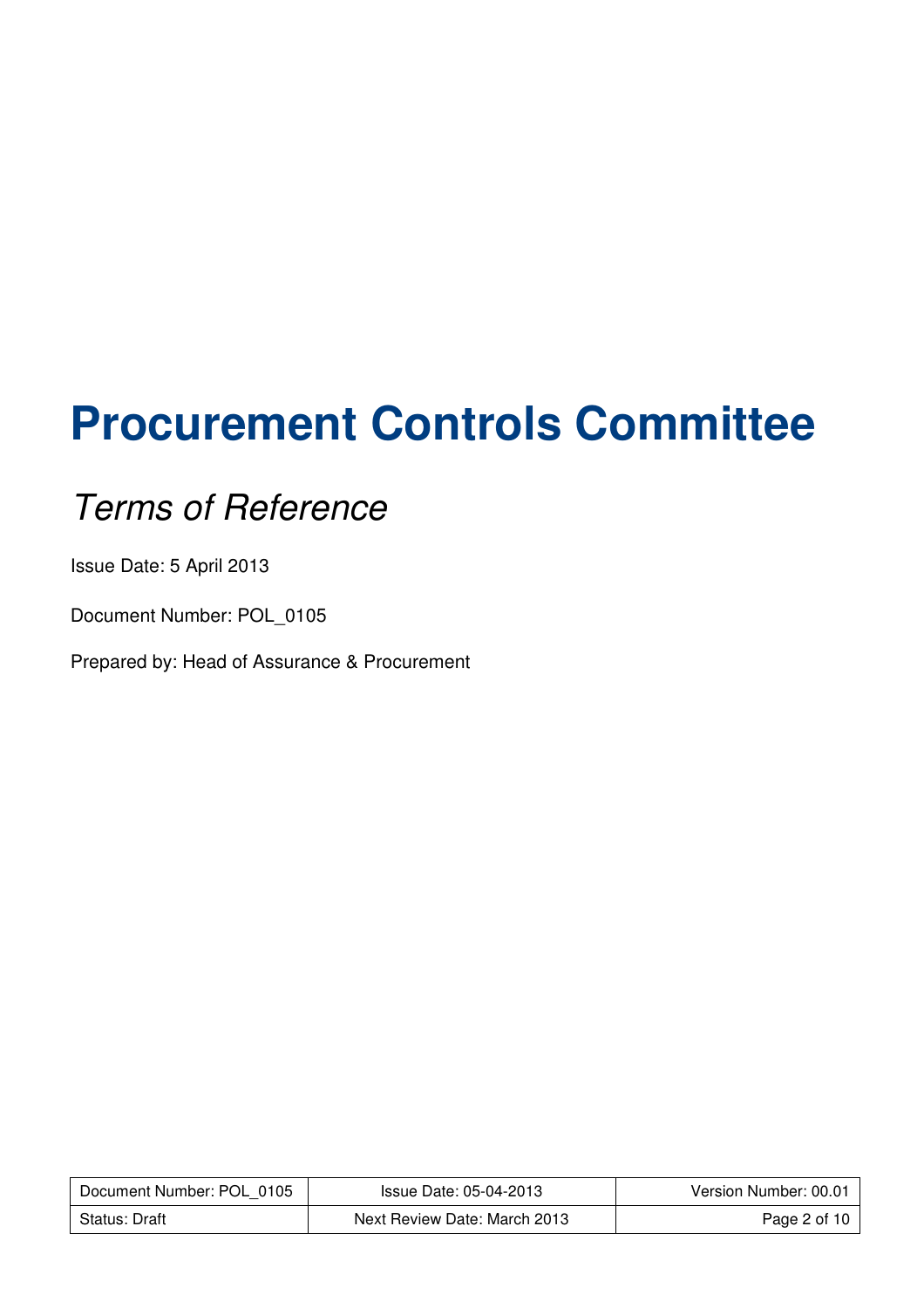# **Procurement Controls Committee**

## Terms of Reference

Issue Date: 5 April 2013

Document Number: POL\_0105

Prepared by: Head of Assurance & Procurement

| Document Number: POL 0105 | Issue Date: 05-04-2013       | Version Number: 00.01 |
|---------------------------|------------------------------|-----------------------|
| Status: Draft             | Next Review Date: March 2013 | Page 2 of 10          |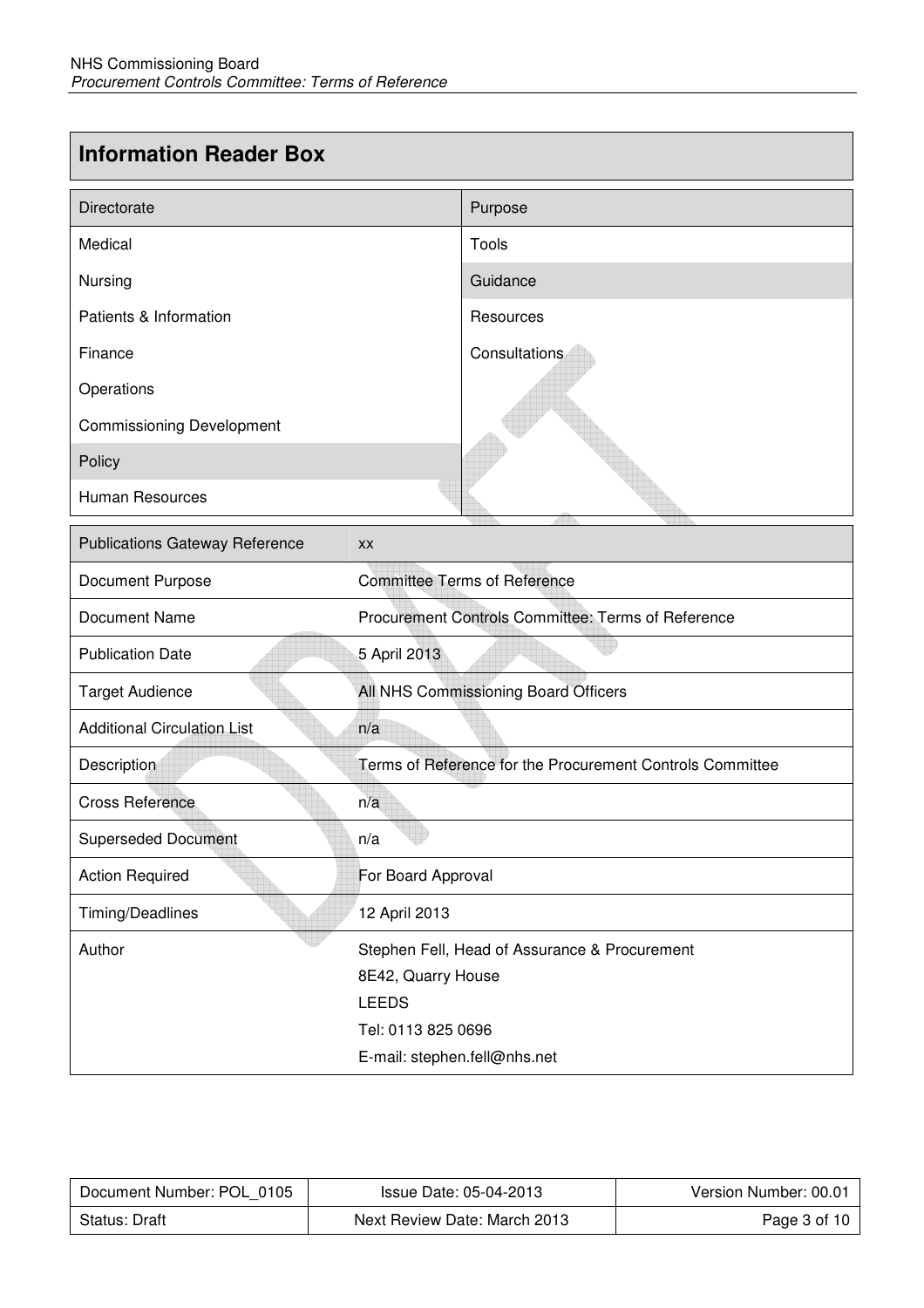#### **Information Reader Box**

| Directorate                           |                                                           | Purpose       |
|---------------------------------------|-----------------------------------------------------------|---------------|
| Medical                               |                                                           | Tools         |
| Nursing                               |                                                           | Guidance      |
| Patients & Information                |                                                           | Resources     |
| Finance                               |                                                           | Consultations |
| Operations                            |                                                           |               |
| <b>Commissioning Development</b>      |                                                           |               |
| Policy                                |                                                           |               |
| <b>Human Resources</b>                |                                                           |               |
| <b>Publications Gateway Reference</b> | XX                                                        |               |
| Document Purpose                      | <b>Committee Terms of Reference</b>                       |               |
| <b>Document Name</b>                  | Procurement Controls Committee: Terms of Reference        |               |
| <b>Publication Date</b>               | 5 April 2013                                              |               |
| <b>Target Audience</b>                | All NHS Commissioning Board Officers                      |               |
| <b>Additional Circulation List</b>    | n/a                                                       |               |
| Description                           | Terms of Reference for the Procurement Controls Committee |               |
| <b>Cross Reference</b>                | n/a                                                       |               |
| <b>Superseded Document</b>            | n/a                                                       |               |
| <b>Action Required</b>                | For Board Approval                                        |               |
| Timing/Deadlines                      | 12 April 2013                                             |               |
| Author                                | Stephen Fell, Head of Assurance & Procurement             |               |
|                                       | 8E42, Quarry House                                        |               |
|                                       | <b>LEEDS</b>                                              |               |
|                                       | Tel: 0113 825 0696                                        |               |
|                                       | E-mail: stephen.fell@nhs.net                              |               |

| Document Number: POL 0105 | Issue Date: 05-04-2013       | Version Number: 00.01 |
|---------------------------|------------------------------|-----------------------|
| Status: Draft             | Next Review Date: March 2013 | Page 3 of 10          |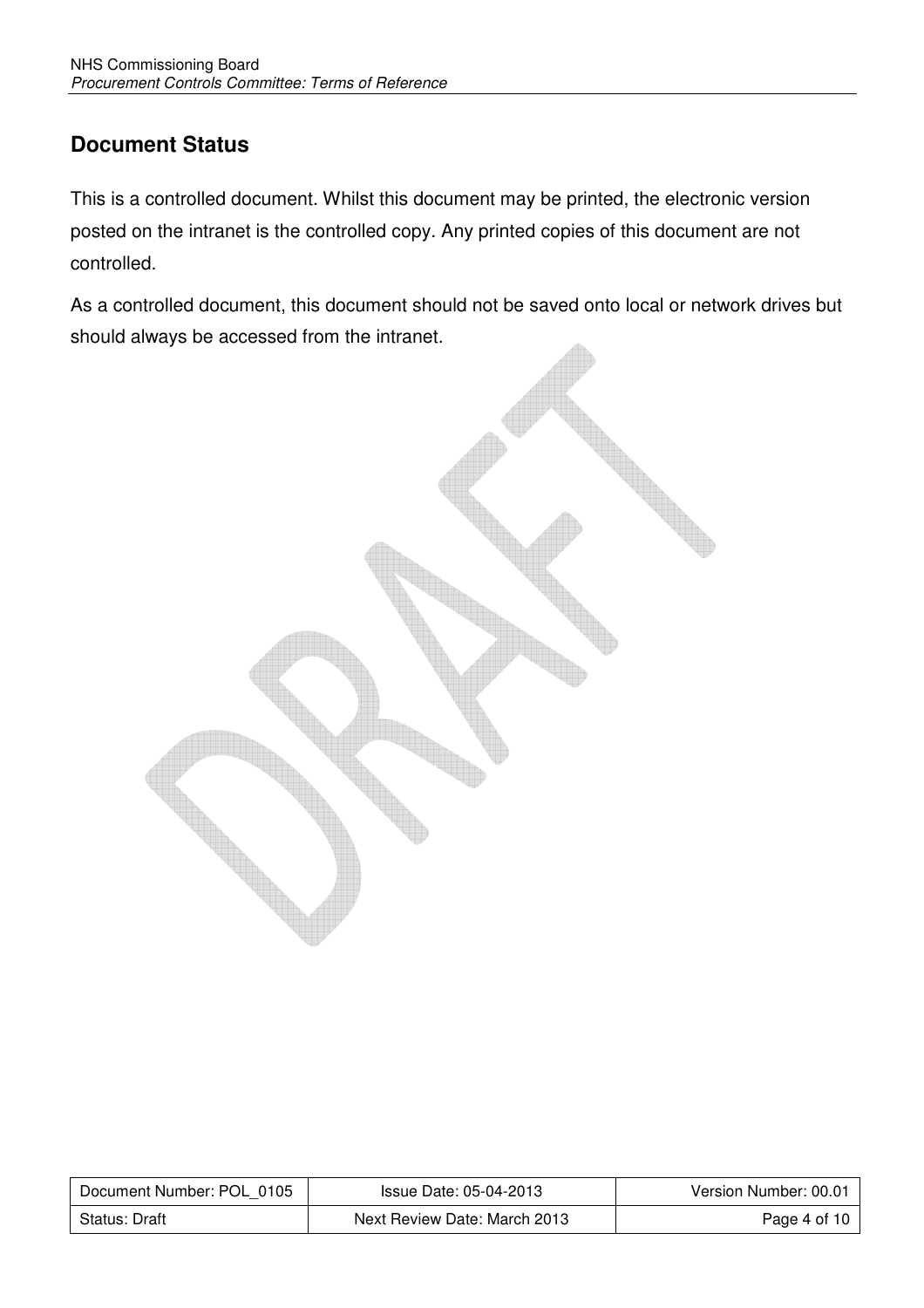#### **Document Status**

This is a controlled document. Whilst this document may be printed, the electronic version posted on the intranet is the controlled copy. Any printed copies of this document are not controlled.

As a controlled document, this document should not be saved onto local or network drives but should always be accessed from the intranet.



| Document Number: POL 0105 | Issue Date: 05-04-2013       | Version Number: 00.01    |
|---------------------------|------------------------------|--------------------------|
| Status: Draft             | Next Review Date: March 2013 | Page 4 of 10 $\parallel$ |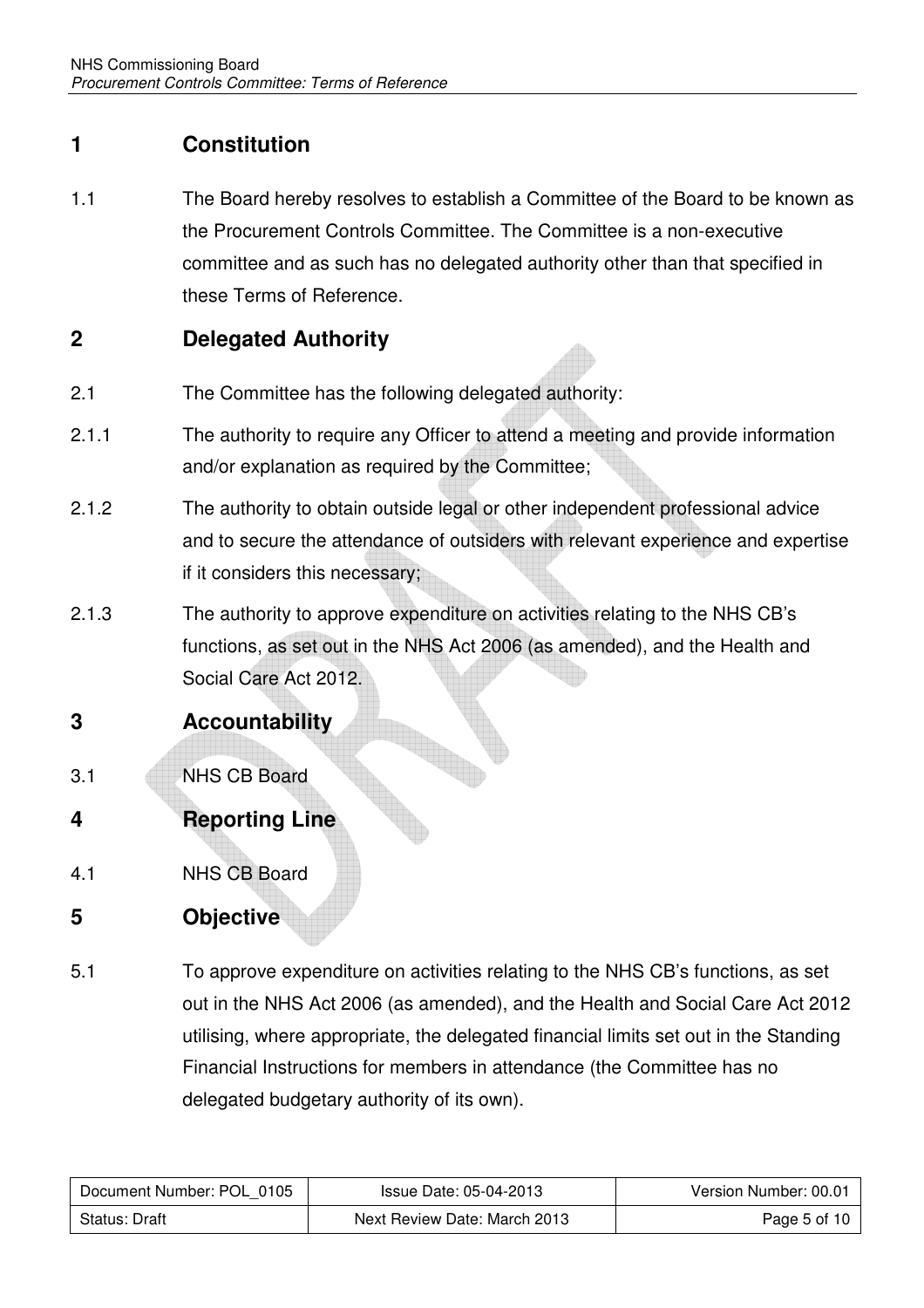#### **1 Constitution**

1.1 The Board hereby resolves to establish a Committee of the Board to be known as the Procurement Controls Committee. The Committee is a non-executive committee and as such has no delegated authority other than that specified in these Terms of Reference.

#### **2 Delegated Authority**

- 2.1 The Committee has the following delegated authority:
- 2.1.1 The authority to require any Officer to attend a meeting and provide information and/or explanation as required by the Committee;
- 2.1.2 The authority to obtain outside legal or other independent professional advice and to secure the attendance of outsiders with relevant experience and expertise if it considers this necessary;
- 2.1.3 The authority to approve expenditure on activities relating to the NHS CB's functions, as set out in the NHS Act 2006 (as amended), and the Health and Social Care Act 2012.

#### **3 Accountability**

- 3.1 NHS CB Board
- **4 Reporting Line**
- 4.1 NHS CB Board

#### **5 Objective**

5.1 To approve expenditure on activities relating to the NHS CB's functions, as set out in the NHS Act 2006 (as amended), and the Health and Social Care Act 2012 utilising, where appropriate, the delegated financial limits set out in the Standing Financial Instructions for members in attendance (the Committee has no delegated budgetary authority of its own).

| Document Number: POL 0105 | Issue Date: 05-04-2013       | Version Number: 00.01 |
|---------------------------|------------------------------|-----------------------|
| Status: Draft             | Next Review Date: March 2013 | Page 5 of 10          |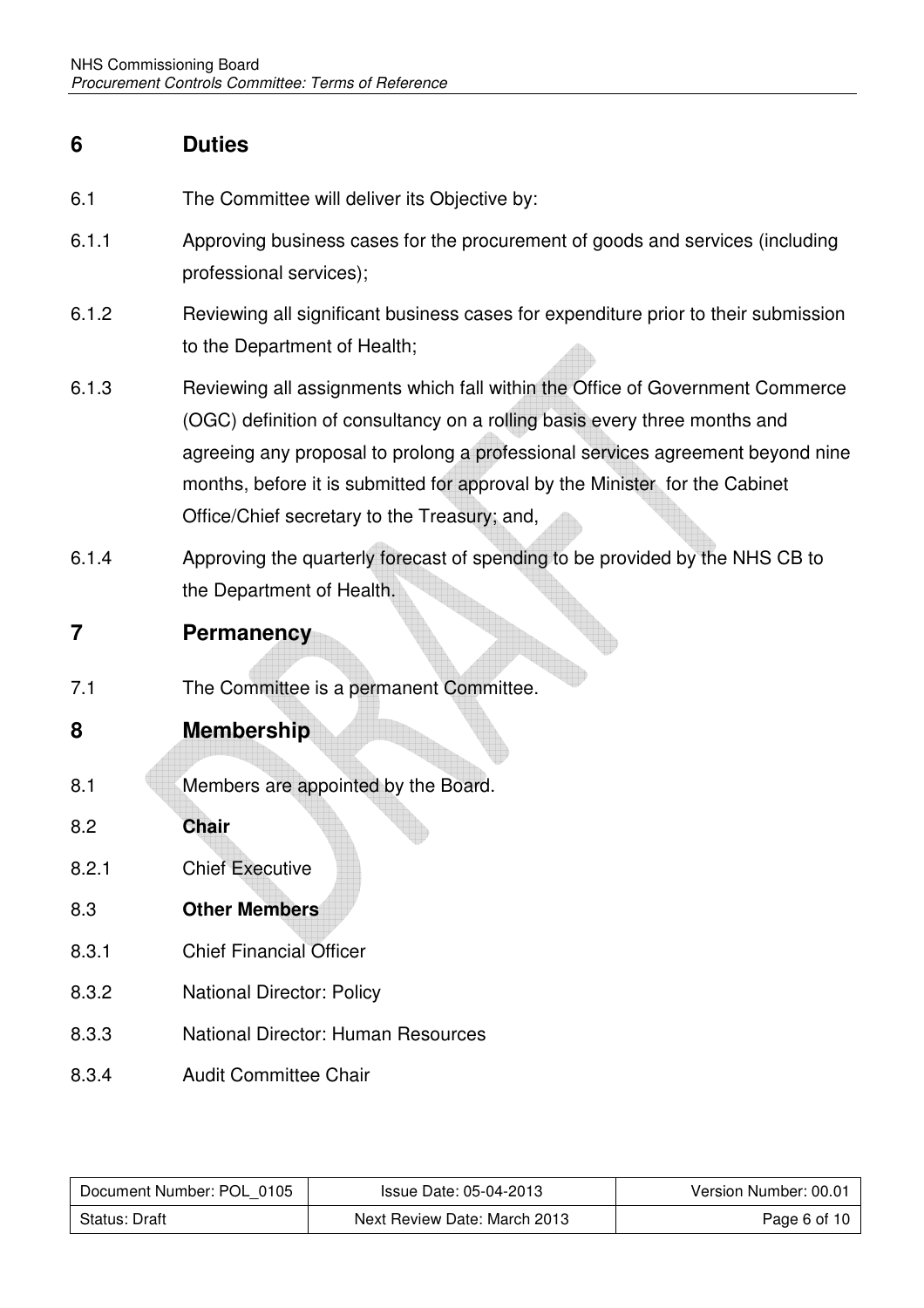#### **6 Duties**

- 6.1 The Committee will deliver its Objective by:
- 6.1.1 Approving business cases for the procurement of goods and services (including professional services);
- 6.1.2 Reviewing all significant business cases for expenditure prior to their submission to the Department of Health;
- 6.1.3 Reviewing all assignments which fall within the Office of Government Commerce (OGC) definition of consultancy on a rolling basis every three months and agreeing any proposal to prolong a professional services agreement beyond nine months, before it is submitted for approval by the Minister for the Cabinet Office/Chief secretary to the Treasury; and,
- 6.1.4 Approving the quarterly forecast of spending to be provided by the NHS CB to the Department of Health.
- **7 Permanency**
- 7.1 The Committee is a permanent Committee.

#### **8 Membership**

- 8.1 Members are appointed by the Board.
- 8.2 **Chair**  8.2.1 Chief Executive 8.3 **Other Members**
- 
- 8.3.1 Chief Financial Officer
- 8.3.2 National Director: Policy
- 8.3.3 National Director: Human Resources
- 8.3.4 Audit Committee Chair

| Document Number: POL 0105 | Issue Date: 05-04-2013       | Version Number: 00.01 |
|---------------------------|------------------------------|-----------------------|
| Status: Draft             | Next Review Date: March 2013 | Page 6 of 10          |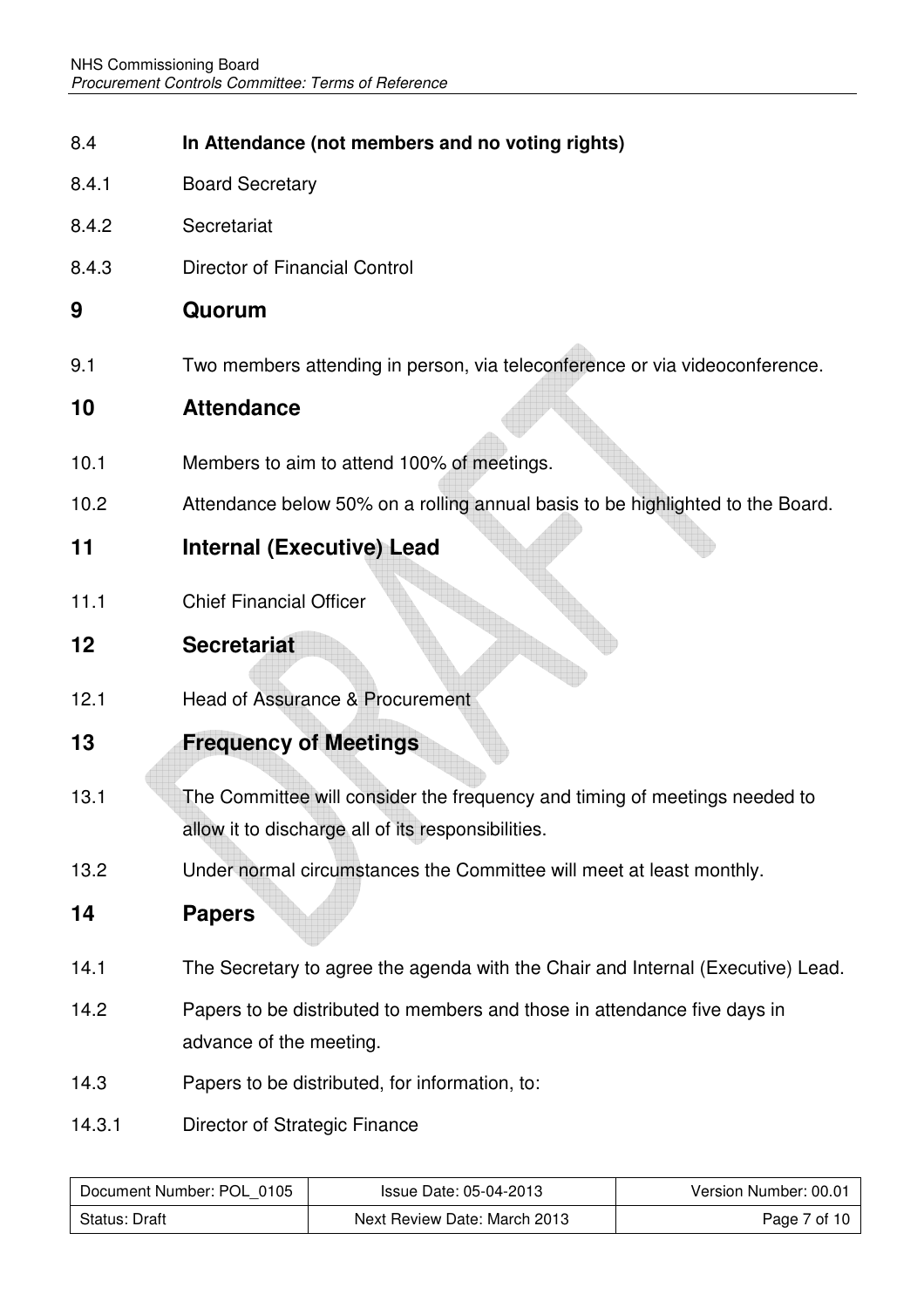- 8.4 **In Attendance (not members and no voting rights)**
- 8.4.1 Board Secretary
- 8.4.2 Secretariat
- 8.4.3 Director of Financial Control

#### **9 Quorum**

9.1 Two members attending in person, via teleconference or via videoconference.

#### **10 Attendance**

- 10.1 Members to aim to attend 100% of meetings.
- 10.2 Attendance below 50% on a rolling annual basis to be highlighted to the Board.

#### **11 Internal (Executive) Lead**

11.1 Chief Financial Officer

#### **12 Secretariat**

12.1 Head of Assurance & Procurement

#### **13 Frequency of Meetings**

- 13.1 The Committee will consider the frequency and timing of meetings needed to allow it to discharge all of its responsibilities.
- 13.2 Under normal circumstances the Committee will meet at least monthly.

#### **14 Papers**

- 14.1 The Secretary to agree the agenda with the Chair and Internal (Executive) Lead.
- 14.2 Papers to be distributed to members and those in attendance five days in advance of the meeting.
- 14.3 Papers to be distributed, for information, to:
- 14.3.1 Director of Strategic Finance

| Document Number: POL 0105 | Issue Date: 05-04-2013       | Version Number: 00.01 |
|---------------------------|------------------------------|-----------------------|
| Status: Draft             | Next Review Date: March 2013 | Page 7 of 10          |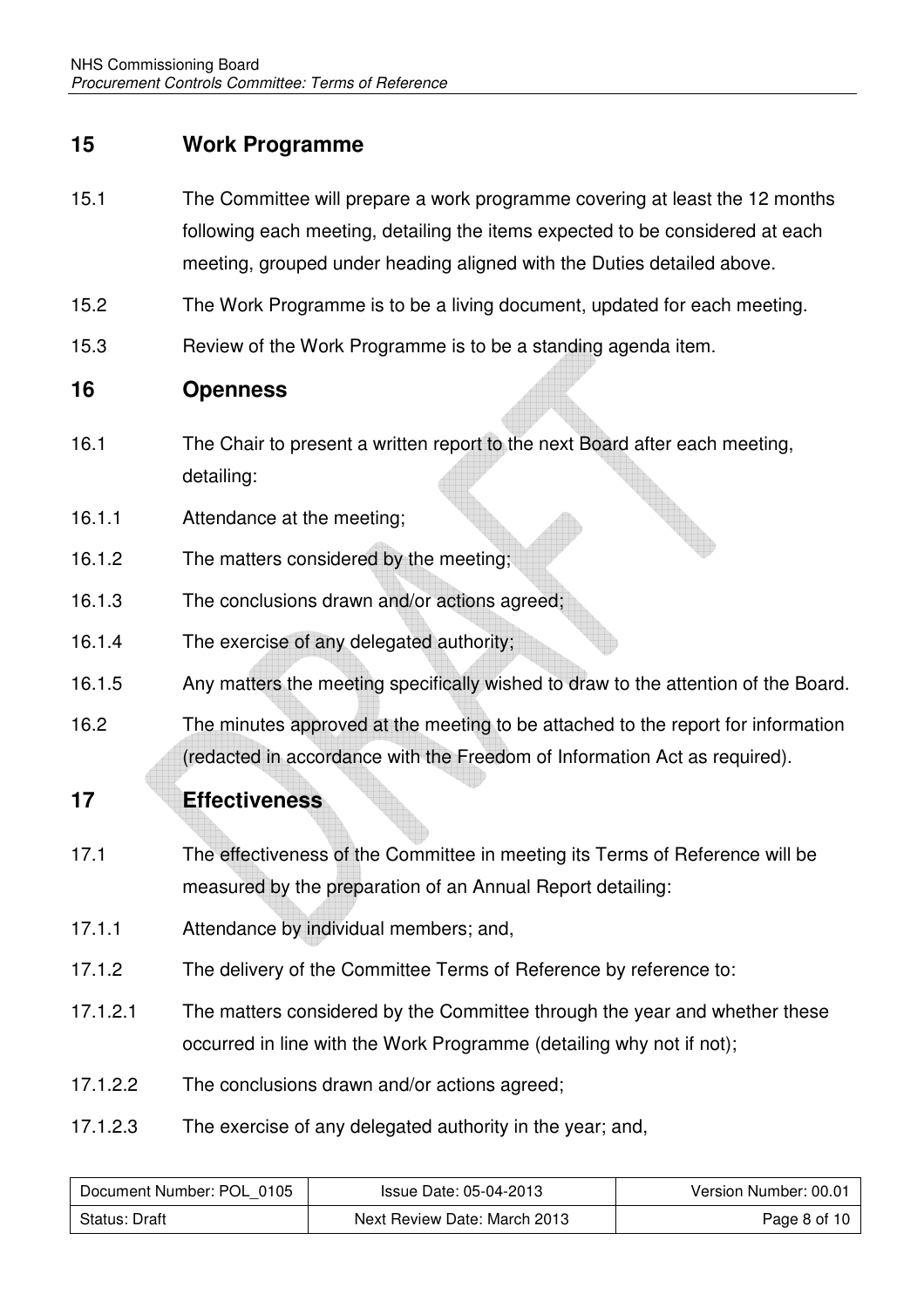#### **15 Work Programme**

- 15.1 The Committee will prepare a work programme covering at least the 12 months following each meeting, detailing the items expected to be considered at each meeting, grouped under heading aligned with the Duties detailed above.
- 15.2 The Work Programme is to be a living document, updated for each meeting.
- 15.3 Review of the Work Programme is to be a standing agenda item.

#### **16 Openness**

- 16.1 The Chair to present a written report to the next Board after each meeting, detailing:
- 16.1.1 Attendance at the meeting;
- 16.1.2 The matters considered by the meeting;
- 16.1.3 The conclusions drawn and/or actions agreed;
- 16.1.4 The exercise of any delegated authority;
- 16.1.5 Any matters the meeting specifically wished to draw to the attention of the Board.
- 16.2 The minutes approved at the meeting to be attached to the report for information (redacted in accordance with the Freedom of Information Act as required).
- **17 Effectiveness**
- 17.1 The effectiveness of the Committee in meeting its Terms of Reference will be measured by the preparation of an Annual Report detailing:
- 17.1.1 Attendance by individual members; and,
- 17.1.2 The delivery of the Committee Terms of Reference by reference to:
- 17.1.2.1 The matters considered by the Committee through the year and whether these occurred in line with the Work Programme (detailing why not if not);
- 17.1.2.2 The conclusions drawn and/or actions agreed;
- 17.1.2.3 The exercise of any delegated authority in the year; and,

| Document Number: POL 0105 | Issue Date: 05-04-2013       | Version Number: 00.01 |
|---------------------------|------------------------------|-----------------------|
| Status: Draft             | Next Review Date: March 2013 | Page 8 of 10          |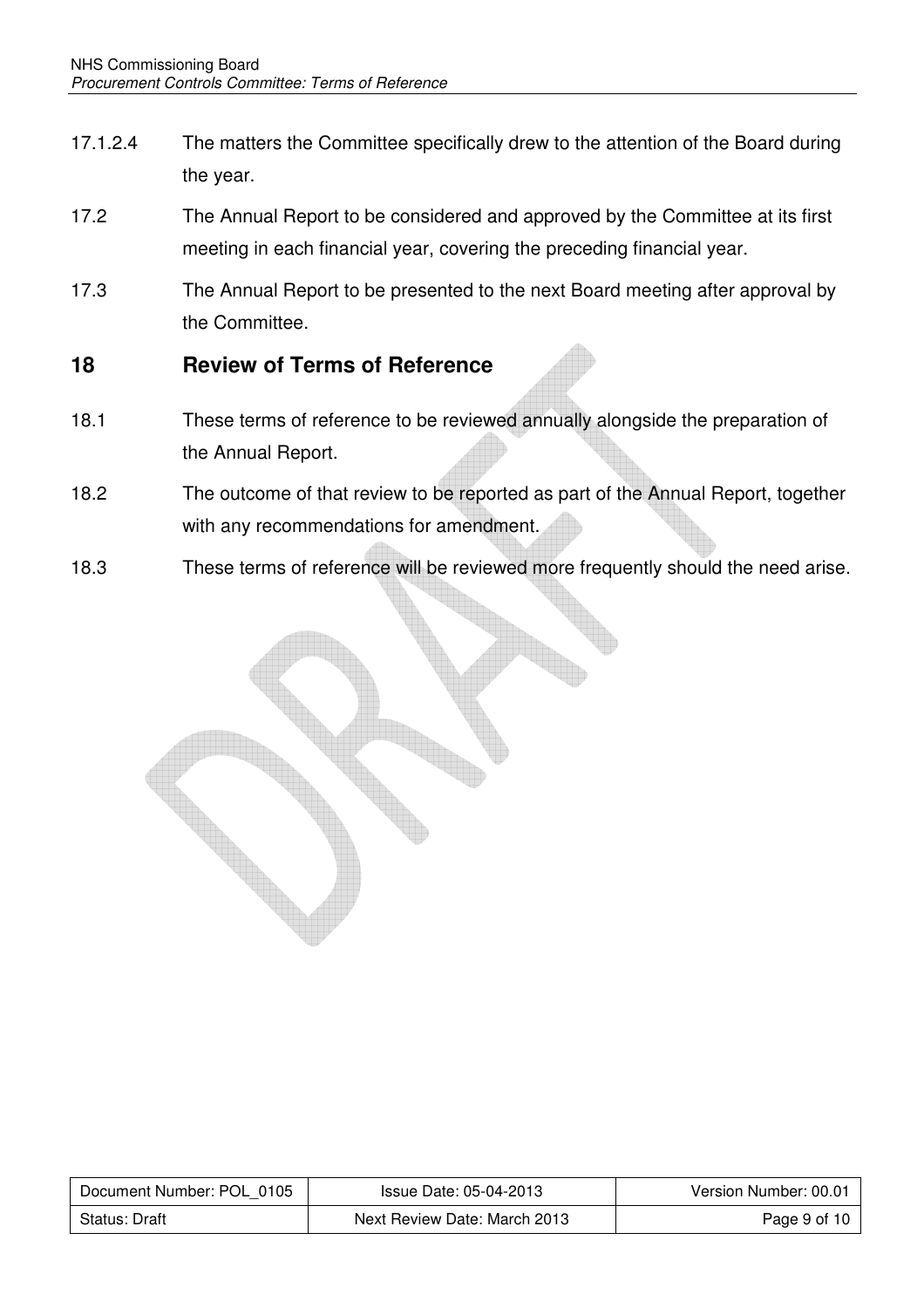- 17.1.2.4 The matters the Committee specifically drew to the attention of the Board during the year.
- 17.2 The Annual Report to be considered and approved by the Committee at its first meeting in each financial year, covering the preceding financial year.
- 17.3 The Annual Report to be presented to the next Board meeting after approval by the Committee.

#### **18 Review of Terms of Reference**

- 18.1 These terms of reference to be reviewed annually alongside the preparation of the Annual Report.
- 18.2 The outcome of that review to be reported as part of the Annual Report, together with any recommendations for amendment.
- 18.3 These terms of reference will be reviewed more frequently should the need arise.